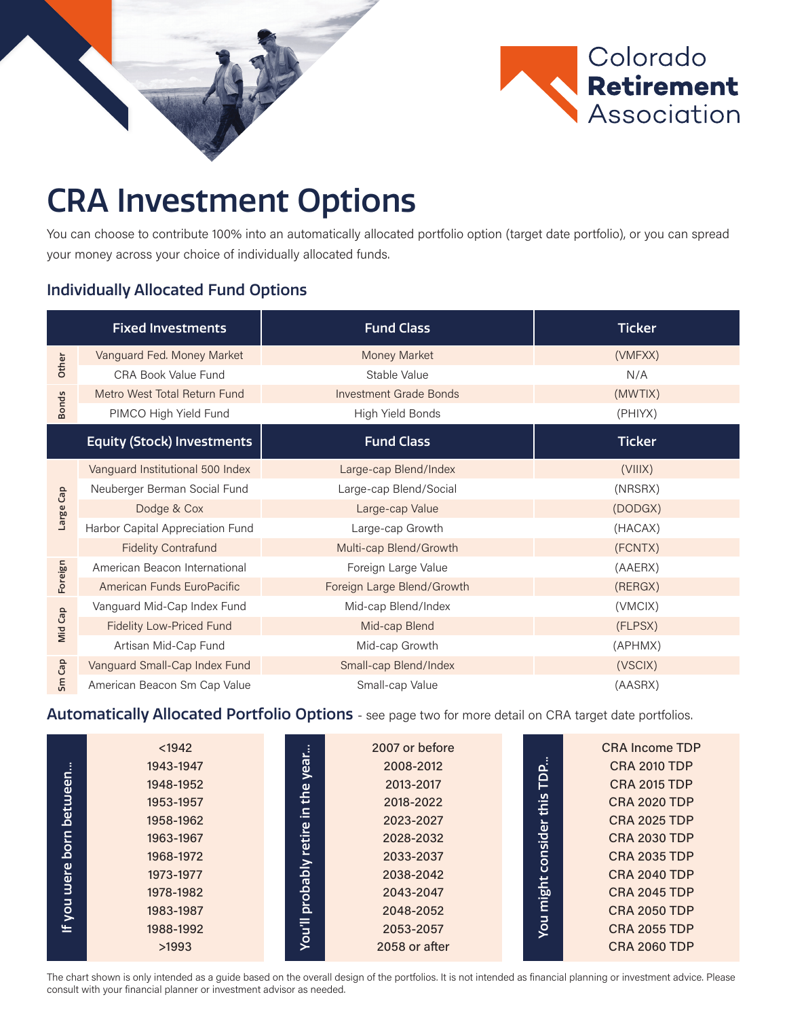

## CRA Investment Options

You can choose to contribute 100% into an automatically allocated portfolio option (target date portfolio), or you can spread your money across your choice of individually allocated funds.

## Individually Allocated Fund Options

|              | <b>Fixed Investments</b>          | <b>Fund Class</b>             | <b>Ticker</b> |  |  |
|--------------|-----------------------------------|-------------------------------|---------------|--|--|
|              | Vanguard Fed. Money Market        | Money Market                  | (VMFXX)       |  |  |
| Other        | CRA Book Value Fund               | Stable Value                  | N/A           |  |  |
|              | Metro West Total Return Fund      | <b>Investment Grade Bonds</b> | (MWTIX)       |  |  |
| <b>Bonds</b> | PIMCO High Yield Fund             | High Yield Bonds              | (PHIYX)       |  |  |
|              | <b>Equity (Stock) Investments</b> | <b>Fund Class</b>             | <b>Ticker</b> |  |  |
| Large Cap    | Vanguard Institutional 500 Index  | Large-cap Blend/Index         | (VIIIX)       |  |  |
|              | Neuberger Berman Social Fund      | Large-cap Blend/Social        | (NRSRX)       |  |  |
|              | Dodge & Cox                       | Large-cap Value               | (DODGX)       |  |  |
|              | Harbor Capital Appreciation Fund  | Large-cap Growth              | (HACAX)       |  |  |
|              | <b>Fidelity Contrafund</b>        | Multi-cap Blend/Growth        | (FCNTX)       |  |  |
| Foreign      | American Beacon International     | Foreign Large Value           | (AAERX)       |  |  |
|              | American Funds EuroPacific        | Foreign Large Blend/Growth    | (RERGX)       |  |  |
| Mid Cap      | Vanguard Mid-Cap Index Fund       | Mid-cap Blend/Index           | (VMCIX)       |  |  |
|              | <b>Fidelity Low-Priced Fund</b>   | Mid-cap Blend                 | (FLPSX)       |  |  |
|              | Artisan Mid-Cap Fund              | Mid-cap Growth                | (APHMX)       |  |  |
| Cap<br>Sm    | Vanguard Small-Cap Index Fund     | Small-cap Blend/Index         | (VSCIX)       |  |  |
|              | American Beacon Sm Cap Value      | Small-cap Value               | (AASRX)       |  |  |

## Automatically Allocated Portfolio Options - see page two for more detail on CRA target date portfolios.

|             | $1942$    |  |                                                                                      | 2007 or before |  |                          | CRA Income TDP      |
|-------------|-----------|--|--------------------------------------------------------------------------------------|----------------|--|--------------------------|---------------------|
| between     | 1943-1947 |  | year<br>the<br>$\mathbf{r}$<br>retire<br>Σh<br><b><u>Probal</u></b><br><b>You'll</b> | 2008-2012      |  | TDP.<br>this<br>consider | <b>CRA 2010 TDP</b> |
|             | 1948-1952 |  |                                                                                      | 2013-2017      |  |                          | <b>CRA 2015 TDP</b> |
|             | 1953-1957 |  |                                                                                      | 2018-2022      |  |                          | <b>CRA 2020 TDP</b> |
|             | 1958-1962 |  |                                                                                      | 2023-2027      |  |                          | <b>CRA 2025 TDP</b> |
| born        | 1963-1967 |  |                                                                                      | 2028-2032      |  |                          | <b>CRA 2030 TDP</b> |
| uuere       | 1968-1972 |  |                                                                                      | 2033-2037      |  |                          | <b>CRA 2035 TDP</b> |
|             | 1973-1977 |  |                                                                                      | 2038-2042      |  |                          | <b>CRA 2040 TDP</b> |
|             | 1978-1982 |  |                                                                                      | 2043-2047      |  | might                    | <b>CRA 2045 TDP</b> |
| <b>Liok</b> | 1983-1987 |  |                                                                                      | 2048-2052      |  |                          | <b>CRA 2050 TDP</b> |
| $=$         | 1988-1992 |  |                                                                                      | 2053-2057      |  | <b>Do</b>                | <b>CRA 2055 TDP</b> |
|             | >1993     |  |                                                                                      | 2058 or after  |  |                          | <b>CRA 2060 TDP</b> |

The chart shown is only intended as a guide based on the overall design of the portfolios. It is not intended as financial planning or investment advice. Please consult with your financial planner or investment advisor as needed.